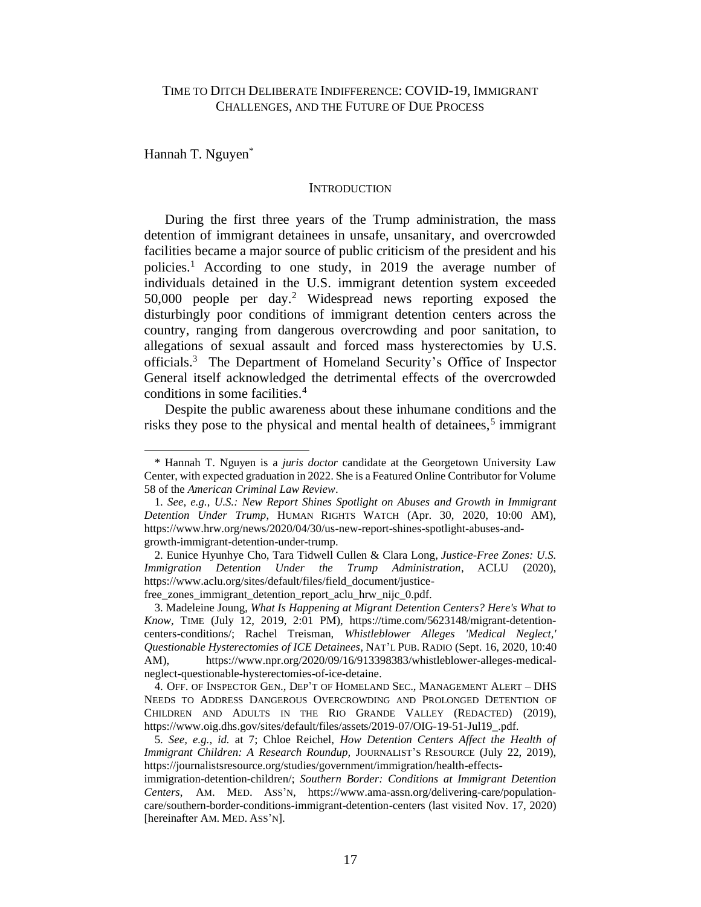Hannah T. Nguyen\*

#### **INTRODUCTION**

During the first three years of the Trump administration, the mass detention of immigrant detainees in unsafe, unsanitary, and overcrowded facilities became a major source of public criticism of the president and his policies.<sup>1</sup> According to one study, in 2019 the average number of individuals detained in the U.S. immigrant detention system exceeded 50,000 people per day.<sup>2</sup> Widespread news reporting exposed the disturbingly poor conditions of immigrant detention centers across the country, ranging from dangerous overcrowding and poor sanitation, to allegations of sexual assault and forced mass hysterectomies by U.S. officials. <sup>3</sup> The Department of Homeland Security's Office of Inspector General itself acknowledged the detrimental effects of the overcrowded conditions in some facilities.<sup>4</sup>

Despite the public awareness about these inhumane conditions and the risks they pose to the physical and mental health of detainees,<sup>5</sup> immigrant

free\_zones\_immigrant\_detention\_report\_aclu\_hrw\_nijc\_0.pdf.

<sup>\*</sup> Hannah T. Nguyen is a *juris doctor* candidate at the Georgetown University Law Center, with expected graduation in 2022. She is a Featured Online Contributor for Volume 58 of the *American Criminal Law Review*.

<sup>1.</sup> *See, e.g.*, *U.S.: New Report Shines Spotlight on Abuses and Growth in Immigrant Detention Under Trump*, HUMAN RIGHTS WATCH (Apr. 30, 2020, 10:00 AM), https://www.hrw.org/news/2020/04/30/us-new-report-shines-spotlight-abuses-andgrowth-immigrant-detention-under-trump.

<sup>2.</sup> Eunice Hyunhye Cho, Tara Tidwell Cullen & Clara Long, *Justice-Free Zones: U.S. Immigration Detention Under the Trump Administration*, ACLU (2020), https://www.aclu.org/sites/default/files/field\_document/justice-

<sup>3.</sup> Madeleine Joung, *What Is Happening at Migrant Detention Centers? Here's What to Know*, TIME (July 12, 2019, 2:01 PM), https://time.com/5623148/migrant-detentioncenters-conditions/; Rachel Treisman, *Whistleblower Alleges 'Medical Neglect,' Questionable Hysterectomies of ICE Detainees*, NAT'L PUB. RADIO (Sept. 16, 2020, 10:40 AM), https://www.npr.org/2020/09/16/913398383/whistleblower-alleges-medicalneglect-questionable-hysterectomies-of-ice-detaine.

<sup>4.</sup> OFF. OF INSPECTOR GEN., DEP'T OF HOMELAND SEC., MANAGEMENT ALERT – DHS NEEDS TO ADDRESS DANGEROUS OVERCROWDING AND PROLONGED DETENTION OF CHILDREN AND ADULTS IN THE RIO GRANDE VALLEY (REDACTED) (2019), https://www.oig.dhs.gov/sites/default/files/assets/2019-07/OIG-19-51-Jul19\_.pdf.

<sup>5.</sup> *See, e.g.*, *id.* at 7; Chloe Reichel, *How Detention Centers Affect the Health of Immigrant Children: A Research Roundup,* JOURNALIST'S RESOURCE (July 22, 2019), https://journalistsresource.org/studies/government/immigration/health-effects-

immigration-detention-children/; *Southern Border: Conditions at Immigrant Detention Centers*, AM. MED. ASS'N, https://www.ama-assn.org/delivering-care/populationcare/southern-border-conditions-immigrant-detention-centers (last visited Nov. 17, 2020) [hereinafter AM. MED. ASS'N].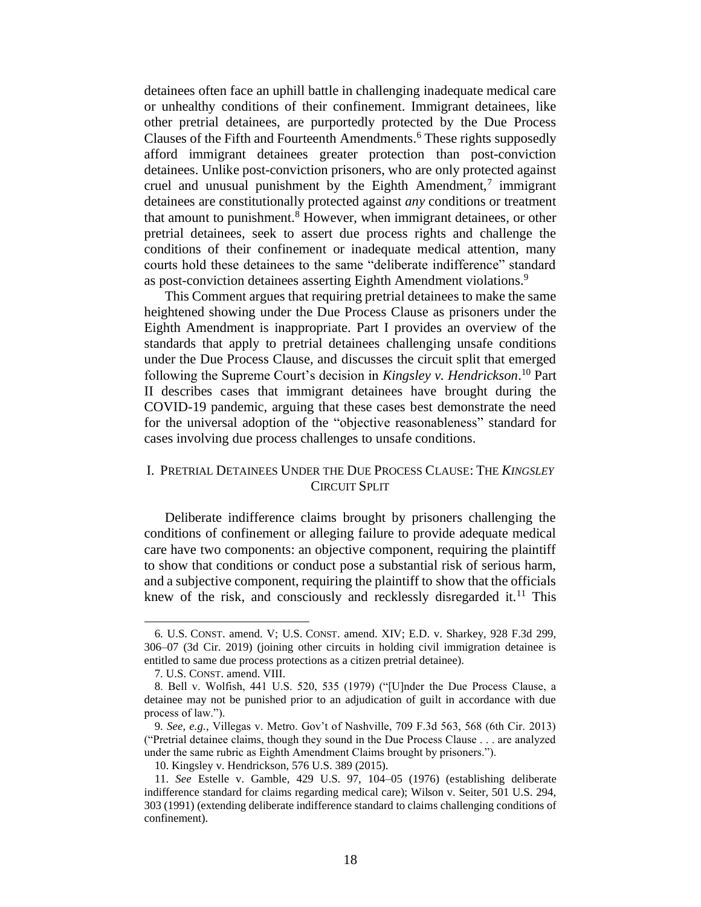detainees often face an uphill battle in challenging inadequate medical care or unhealthy conditions of their confinement. Immigrant detainees, like other pretrial detainees, are purportedly protected by the Due Process Clauses of the Fifth and Fourteenth Amendments. <sup>6</sup> These rights supposedly afford immigrant detainees greater protection than post-conviction detainees. Unlike post-conviction prisoners, who are only protected against cruel and unusual punishment by the Eighth Amendment, $\bar{j}$  immigrant detainees are constitutionally protected against *any* conditions or treatment that amount to punishment.<sup>8</sup> However, when immigrant detainees, or other pretrial detainees, seek to assert due process rights and challenge the conditions of their confinement or inadequate medical attention, many courts hold these detainees to the same "deliberate indifference" standard as post-conviction detainees asserting Eighth Amendment violations.<sup>9</sup>

This Comment argues that requiring pretrial detainees to make the same heightened showing under the Due Process Clause as prisoners under the Eighth Amendment is inappropriate. Part I provides an overview of the standards that apply to pretrial detainees challenging unsafe conditions under the Due Process Clause, and discusses the circuit split that emerged following the Supreme Court's decision in *Kingsley v. Hendrickson*. <sup>10</sup> Part II describes cases that immigrant detainees have brought during the COVID-19 pandemic, arguing that these cases best demonstrate the need for the universal adoption of the "objective reasonableness" standard for cases involving due process challenges to unsafe conditions.

# I. PRETRIAL DETAINEES UNDER THE DUE PROCESS CLAUSE: THE *KINGSLEY*  CIRCUIT SPLIT

Deliberate indifference claims brought by prisoners challenging the conditions of confinement or alleging failure to provide adequate medical care have two components: an objective component, requiring the plaintiff to show that conditions or conduct pose a substantial risk of serious harm, and a subjective component, requiring the plaintiff to show that the officials knew of the risk, and consciously and recklessly disregarded it.<sup>11</sup> This

<sup>6.</sup> U.S. CONST. amend. V; U.S. CONST. amend. XIV; E.D. v. Sharkey, 928 F.3d 299, 306–07 (3d Cir. 2019) (joining other circuits in holding civil immigration detainee is entitled to same due process protections as a citizen pretrial detainee).

<sup>7.</sup> U.S. CONST. amend. VIII.

<sup>8.</sup> Bell v. Wolfish, 441 U.S. 520, 535 (1979) ("[U]nder the Due Process Clause, a detainee may not be punished prior to an adjudication of guilt in accordance with due process of law.").

<sup>9.</sup> *See, e.g.*, Villegas v. Metro. Gov't of Nashville, 709 F.3d 563, 568 (6th Cir. 2013) ("Pretrial detainee claims, though they sound in the Due Process Clause . . . are analyzed under the same rubric as Eighth Amendment Claims brought by prisoners.").

<sup>10.</sup> Kingsley v. Hendrickson, 576 U.S. 389 (2015).

<sup>11.</sup> *See* Estelle v. Gamble, 429 U.S. 97, 104–05 (1976) (establishing deliberate indifference standard for claims regarding medical care); Wilson v. Seiter, 501 U.S. 294, 303 (1991) (extending deliberate indifference standard to claims challenging conditions of confinement).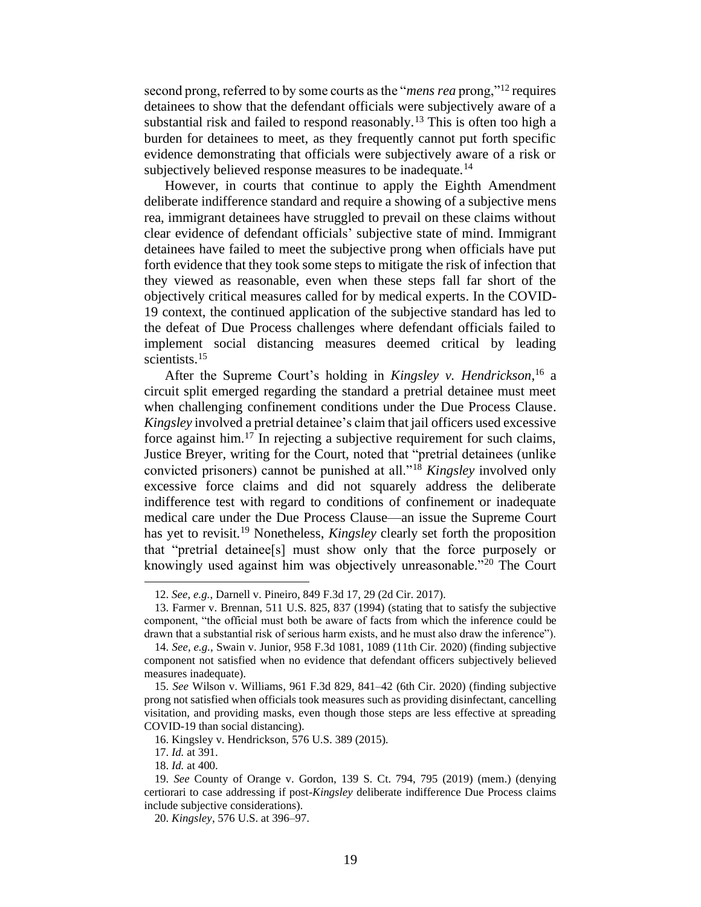second prong, referred to by some courts as the "*mens rea* prong,"<sup>12</sup> requires detainees to show that the defendant officials were subjectively aware of a substantial risk and failed to respond reasonably.<sup>13</sup> This is often too high a burden for detainees to meet, as they frequently cannot put forth specific evidence demonstrating that officials were subjectively aware of a risk or subjectively believed response measures to be inadequate.<sup>14</sup>

However, in courts that continue to apply the Eighth Amendment deliberate indifference standard and require a showing of a subjective mens rea, immigrant detainees have struggled to prevail on these claims without clear evidence of defendant officials' subjective state of mind. Immigrant detainees have failed to meet the subjective prong when officials have put forth evidence that they took some steps to mitigate the risk of infection that they viewed as reasonable, even when these steps fall far short of the objectively critical measures called for by medical experts. In the COVID-19 context, the continued application of the subjective standard has led to the defeat of Due Process challenges where defendant officials failed to implement social distancing measures deemed critical by leading scientists.<sup>15</sup>

After the Supreme Court's holding in *Kingsley v. Hendrickson*, <sup>16</sup> a circuit split emerged regarding the standard a pretrial detainee must meet when challenging confinement conditions under the Due Process Clause. *Kingsley* involved a pretrial detainee's claim that jail officers used excessive force against him.<sup>17</sup> In rejecting a subjective requirement for such claims, Justice Breyer, writing for the Court, noted that "pretrial detainees (unlike convicted prisoners) cannot be punished at all."<sup>18</sup> *Kingsley* involved only excessive force claims and did not squarely address the deliberate indifference test with regard to conditions of confinement or inadequate medical care under the Due Process Clause—an issue the Supreme Court has yet to revisit. <sup>19</sup> Nonetheless, *Kingsley* clearly set forth the proposition that "pretrial detainee[s] must show only that the force purposely or knowingly used against him was objectively unreasonable."<sup>20</sup> The Court

<sup>12.</sup> *See, e.g.*, Darnell v. Pineiro, 849 F.3d 17, 29 (2d Cir. 2017).

<sup>13.</sup> Farmer v. Brennan, 511 U.S. 825, 837 (1994) (stating that to satisfy the subjective component, "the official must both be aware of facts from which the inference could be drawn that a substantial risk of serious harm exists, and he must also draw the inference").

<sup>14.</sup> *See, e.g.*, Swain v. Junior, 958 F.3d 1081, 1089 (11th Cir. 2020) (finding subjective component not satisfied when no evidence that defendant officers subjectively believed measures inadequate).

<sup>15.</sup> *See* Wilson v. Williams, 961 F.3d 829, 841–42 (6th Cir. 2020) (finding subjective prong not satisfied when officials took measures such as providing disinfectant, cancelling visitation, and providing masks, even though those steps are less effective at spreading COVID-19 than social distancing).

<sup>16.</sup> Kingsley v. Hendrickson, 576 U.S. 389 (2015).

<sup>17.</sup> *Id.* at 391.

<sup>18.</sup> *Id.* at 400.

<sup>19.</sup> *See* County of Orange v. Gordon, 139 S. Ct. 794, 795 (2019) (mem.) (denying certiorari to case addressing if post-*Kingsley* deliberate indifference Due Process claims include subjective considerations).

<sup>20.</sup> *Kingsley*, 576 U.S. at 396–97.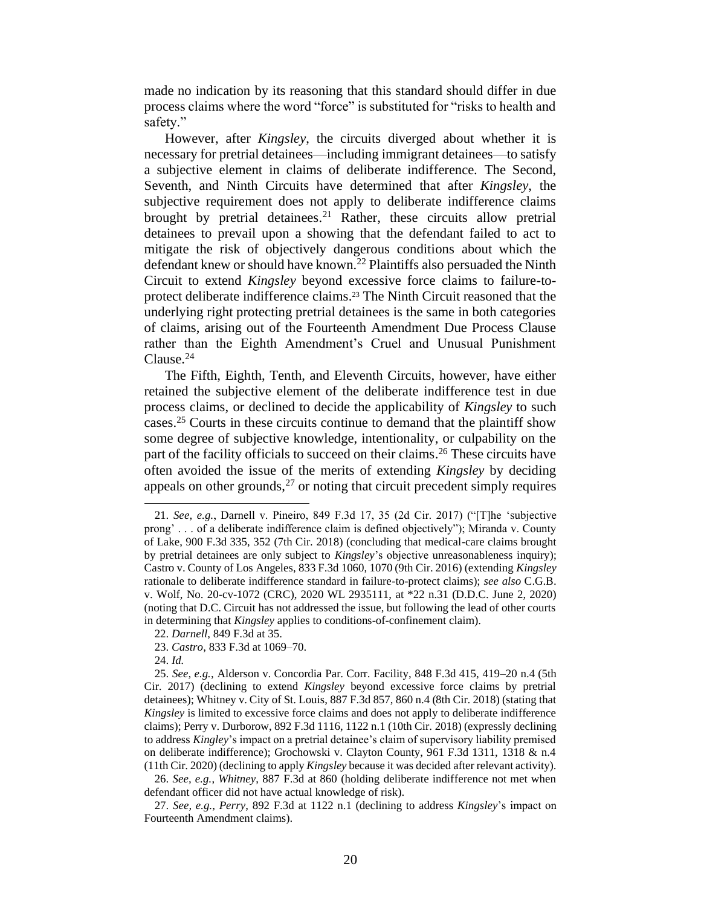made no indication by its reasoning that this standard should differ in due process claims where the word "force" is substituted for "risks to health and safety."

However, after *Kingsley*, the circuits diverged about whether it is necessary for pretrial detainees—including immigrant detainees—to satisfy a subjective element in claims of deliberate indifference. The Second, Seventh, and Ninth Circuits have determined that after *Kingsley*, the subjective requirement does not apply to deliberate indifference claims brought by pretrial detainees. <sup>21</sup> Rather, these circuits allow pretrial detainees to prevail upon a showing that the defendant failed to act to mitigate the risk of objectively dangerous conditions about which the defendant knew or should have known.<sup>22</sup> Plaintiffs also persuaded the Ninth Circuit to extend *Kingsley* beyond excessive force claims to failure-toprotect deliberate indifference claims. <sup>23</sup> The Ninth Circuit reasoned that the underlying right protecting pretrial detainees is the same in both categories of claims, arising out of the Fourteenth Amendment Due Process Clause rather than the Eighth Amendment's Cruel and Unusual Punishment Clause.<sup>24</sup>

The Fifth, Eighth, Tenth, and Eleventh Circuits, however, have either retained the subjective element of the deliberate indifference test in due process claims, or declined to decide the applicability of *Kingsley* to such cases. <sup>25</sup> Courts in these circuits continue to demand that the plaintiff show some degree of subjective knowledge, intentionality, or culpability on the part of the facility officials to succeed on their claims. <sup>26</sup> These circuits have often avoided the issue of the merits of extending *Kingsley* by deciding appeals on other grounds,  $27$  or noting that circuit precedent simply requires

24. *Id.*

26. *See, e.g.*, *Whitney*, 887 F.3d at 860 (holding deliberate indifference not met when defendant officer did not have actual knowledge of risk).

<sup>21.</sup> *See, e.g.*, Darnell v. Pineiro, 849 F.3d 17, 35 (2d Cir. 2017) ("[T]he 'subjective prong' . . . of a deliberate indifference claim is defined objectively"); Miranda v. County of Lake, 900 F.3d 335, 352 (7th Cir. 2018) (concluding that medical-care claims brought by pretrial detainees are only subject to *Kingsley*'s objective unreasonableness inquiry); Castro v. County of Los Angeles, 833 F.3d 1060, 1070 (9th Cir. 2016) (extending *Kingsley*  rationale to deliberate indifference standard in failure-to-protect claims); *see also* C.G.B. v. Wolf, No. 20-cv-1072 (CRC), 2020 WL 2935111, at \*22 n.31 (D.D.C. June 2, 2020) (noting that D.C. Circuit has not addressed the issue, but following the lead of other courts in determining that *Kingsley* applies to conditions-of-confinement claim).

<sup>22.</sup> *Darnell*, 849 F.3d at 35.

<sup>23.</sup> *Castro*, 833 F.3d at 1069–70.

<sup>25.</sup> *See, e.g.*, Alderson v. Concordia Par. Corr. Facility, 848 F.3d 415, 419–20 n.4 (5th Cir. 2017) (declining to extend *Kingsley* beyond excessive force claims by pretrial detainees); Whitney v. City of St. Louis, 887 F.3d 857, 860 n.4 (8th Cir. 2018) (stating that *Kingsley* is limited to excessive force claims and does not apply to deliberate indifference claims); Perry v. Durborow, 892 F.3d 1116, 1122 n.1 (10th Cir. 2018) (expressly declining to address *Kingley*'s impact on a pretrial detainee's claim of supervisory liability premised on deliberate indifference); Grochowski v. Clayton County, 961 F.3d 1311, 1318 & n.4 (11th Cir. 2020) (declining to apply *Kingsley* because it was decided after relevant activity).

<sup>27.</sup> *See, e.g.*, *Perry*, 892 F.3d at 1122 n.1 (declining to address *Kingsley*'s impact on Fourteenth Amendment claims).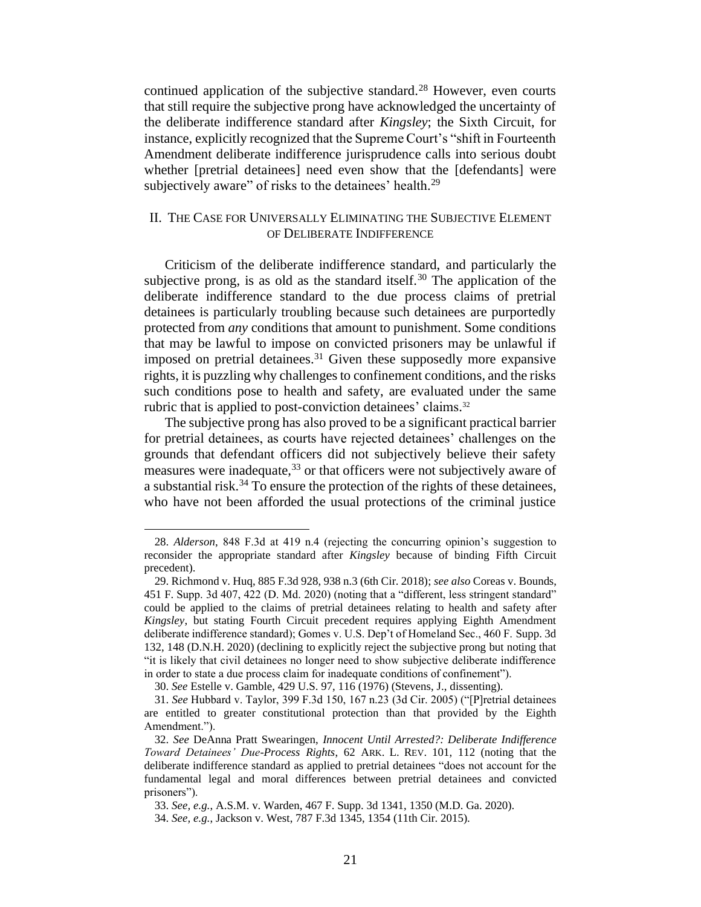continued application of the subjective standard.<sup>28</sup> However, even courts that still require the subjective prong have acknowledged the uncertainty of the deliberate indifference standard after *Kingsley*; the Sixth Circuit, for instance, explicitly recognized that the Supreme Court's "shift in Fourteenth Amendment deliberate indifference jurisprudence calls into serious doubt whether [pretrial detainees] need even show that the [defendants] were subjectively aware" of risks to the detainees' health.<sup>29</sup>

# II. THE CASE FOR UNIVERSALLY ELIMINATING THE SUBJECTIVE ELEMENT OF DELIBERATE INDIFFERENCE

Criticism of the deliberate indifference standard, and particularly the subjective prong, is as old as the standard itself.<sup>30</sup> The application of the deliberate indifference standard to the due process claims of pretrial detainees is particularly troubling because such detainees are purportedly protected from *any* conditions that amount to punishment. Some conditions that may be lawful to impose on convicted prisoners may be unlawful if imposed on pretrial detainees.<sup>31</sup> Given these supposedly more expansive rights, it is puzzling why challenges to confinement conditions, and the risks such conditions pose to health and safety, are evaluated under the same rubric that is applied to post-conviction detainees' claims. 32

The subjective prong has also proved to be a significant practical barrier for pretrial detainees, as courts have rejected detainees' challenges on the grounds that defendant officers did not subjectively believe their safety measures were inadequate,  $33$  or that officers were not subjectively aware of a substantial risk.<sup>34</sup> To ensure the protection of the rights of these detainees, who have not been afforded the usual protections of the criminal justice

<sup>28.</sup> *Alderson*, 848 F.3d at 419 n.4 (rejecting the concurring opinion's suggestion to reconsider the appropriate standard after *Kingsley* because of binding Fifth Circuit precedent).

<sup>29.</sup> Richmond v. Huq, 885 F.3d 928, 938 n.3 (6th Cir. 2018); *see also* Coreas v. Bounds, 451 F. Supp. 3d 407, 422 (D. Md. 2020) (noting that a "different, less stringent standard" could be applied to the claims of pretrial detainees relating to health and safety after *Kingsley*, but stating Fourth Circuit precedent requires applying Eighth Amendment deliberate indifference standard); Gomes v. U.S. Dep't of Homeland Sec., 460 F. Supp. 3d 132, 148 (D.N.H. 2020) (declining to explicitly reject the subjective prong but noting that "it is likely that civil detainees no longer need to show subjective deliberate indifference in order to state a due process claim for inadequate conditions of confinement").

<sup>30.</sup> *See* Estelle v. Gamble, 429 U.S. 97, 116 (1976) (Stevens, J., dissenting).

<sup>31.</sup> *See* Hubbard v. Taylor, 399 F.3d 150, 167 n.23 (3d Cir. 2005) ("[P]retrial detainees are entitled to greater constitutional protection than that provided by the Eighth Amendment.").

<sup>32.</sup> *See* DeAnna Pratt Swearingen, *Innocent Until Arrested?: Deliberate Indifference Toward Detainees' Due-Process Rights*, 62 ARK. L. REV. 101, 112 (noting that the deliberate indifference standard as applied to pretrial detainees "does not account for the fundamental legal and moral differences between pretrial detainees and convicted prisoners").

<sup>33.</sup> *See, e.g.*, A.S.M. v. Warden, 467 F. Supp. 3d 1341, 1350 (M.D. Ga. 2020).

<sup>34.</sup> *See, e.g.*, Jackson v. West, 787 F.3d 1345, 1354 (11th Cir. 2015).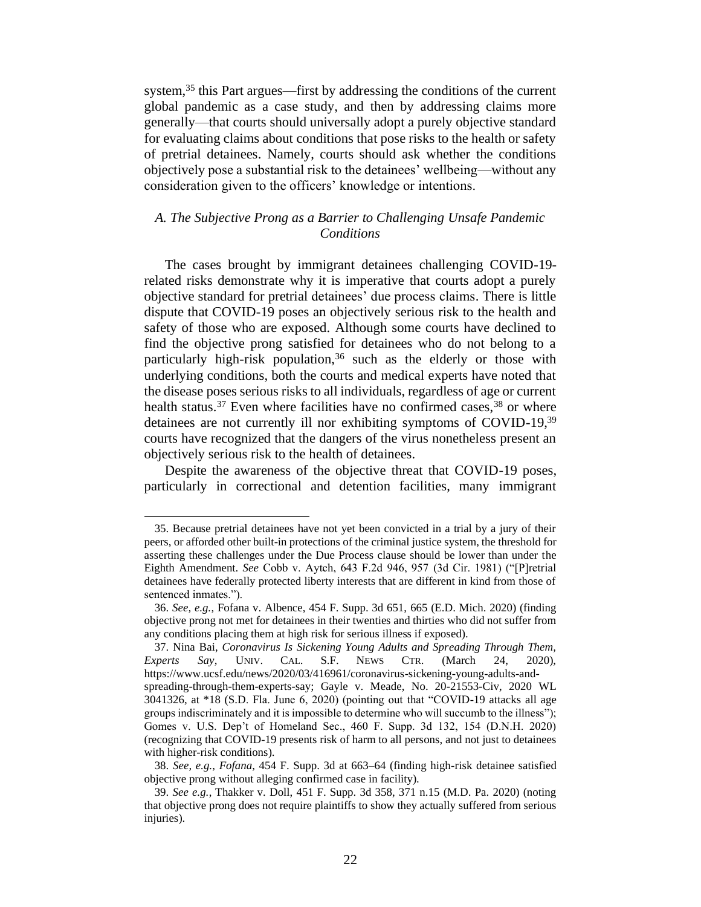system,<sup>35</sup> this Part argues—first by addressing the conditions of the current global pandemic as a case study, and then by addressing claims more generally—that courts should universally adopt a purely objective standard for evaluating claims about conditions that pose risks to the health or safety of pretrial detainees. Namely, courts should ask whether the conditions objectively pose a substantial risk to the detainees' wellbeing—without any consideration given to the officers' knowledge or intentions.

# *A. The Subjective Prong as a Barrier to Challenging Unsafe Pandemic Conditions*

The cases brought by immigrant detainees challenging COVID-19 related risks demonstrate why it is imperative that courts adopt a purely objective standard for pretrial detainees' due process claims. There is little dispute that COVID-19 poses an objectively serious risk to the health and safety of those who are exposed. Although some courts have declined to find the objective prong satisfied for detainees who do not belong to a particularly high-risk population,  $36$  such as the elderly or those with underlying conditions, both the courts and medical experts have noted that the disease poses serious risks to all individuals, regardless of age or current health status.<sup>37</sup> Even where facilities have no confirmed cases,  $38$  or where detainees are not currently ill nor exhibiting symptoms of COVID-19,<sup>39</sup> courts have recognized that the dangers of the virus nonetheless present an objectively serious risk to the health of detainees.

Despite the awareness of the objective threat that COVID-19 poses, particularly in correctional and detention facilities, many immigrant

<sup>35.</sup> Because pretrial detainees have not yet been convicted in a trial by a jury of their peers, or afforded other built-in protections of the criminal justice system, the threshold for asserting these challenges under the Due Process clause should be lower than under the Eighth Amendment. *See* Cobb v. Aytch, 643 F.2d 946, 957 (3d Cir. 1981) ("[P]retrial detainees have federally protected liberty interests that are different in kind from those of sentenced inmates.").

<sup>36.</sup> *See, e.g.*, Fofana v. Albence, 454 F. Supp. 3d 651, 665 (E.D. Mich. 2020) (finding objective prong not met for detainees in their twenties and thirties who did not suffer from any conditions placing them at high risk for serious illness if exposed).

<sup>37.</sup> Nina Bai, *Coronavirus Is Sickening Young Adults and Spreading Through Them, Experts Say*, UNIV. CAL. S.F. NEWS CTR. (March 24, 2020), https://www.ucsf.edu/news/2020/03/416961/coronavirus-sickening-young-adults-andspreading-through-them-experts-say; Gayle v. Meade, No. 20-21553-Civ, 2020 WL 3041326, at \*18 (S.D. Fla. June 6, 2020) (pointing out that "COVID-19 attacks all age groups indiscriminately and it is impossible to determine who will succumb to the illness"); Gomes v. U.S. Dep't of Homeland Sec., 460 F. Supp. 3d 132, 154 (D.N.H. 2020) (recognizing that COVID-19 presents risk of harm to all persons, and not just to detainees with higher-risk conditions).

<sup>38.</sup> *See, e.g.*, *Fofana*, 454 F. Supp. 3d at 663–64 (finding high-risk detainee satisfied objective prong without alleging confirmed case in facility).

<sup>39.</sup> *See e.g.*, Thakker v. Doll, 451 F. Supp. 3d 358, 371 n.15 (M.D. Pa. 2020) (noting that objective prong does not require plaintiffs to show they actually suffered from serious injuries).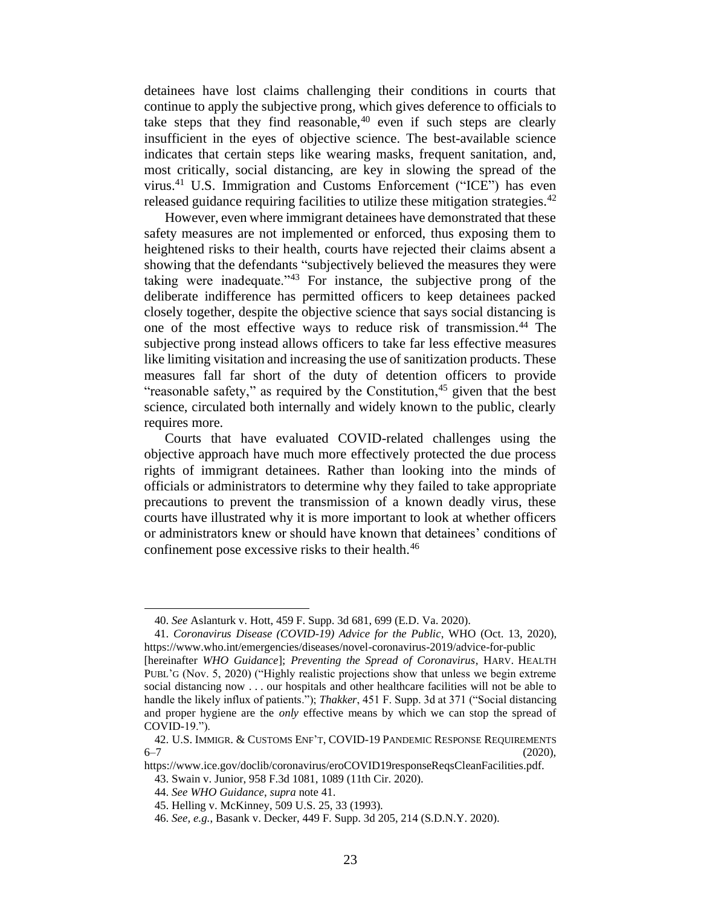detainees have lost claims challenging their conditions in courts that continue to apply the subjective prong, which gives deference to officials to take steps that they find reasonable,  $40$  even if such steps are clearly insufficient in the eyes of objective science. The best-available science indicates that certain steps like wearing masks, frequent sanitation, and, most critically, social distancing, are key in slowing the spread of the virus.<sup>41</sup> U.S. Immigration and Customs Enforcement ("ICE") has even released guidance requiring facilities to utilize these mitigation strategies.<sup>42</sup>

However, even where immigrant detainees have demonstrated that these safety measures are not implemented or enforced, thus exposing them to heightened risks to their health, courts have rejected their claims absent a showing that the defendants "subjectively believed the measures they were taking were inadequate.<sup> $143$ </sup> For instance, the subjective prong of the deliberate indifference has permitted officers to keep detainees packed closely together, despite the objective science that says social distancing is one of the most effective ways to reduce risk of transmission. <sup>44</sup> The subjective prong instead allows officers to take far less effective measures like limiting visitation and increasing the use of sanitization products. These measures fall far short of the duty of detention officers to provide "reasonable safety," as required by the Constitution, $45$  given that the best science, circulated both internally and widely known to the public, clearly requires more.

Courts that have evaluated COVID-related challenges using the objective approach have much more effectively protected the due process rights of immigrant detainees. Rather than looking into the minds of officials or administrators to determine why they failed to take appropriate precautions to prevent the transmission of a known deadly virus, these courts have illustrated why it is more important to look at whether officers or administrators knew or should have known that detainees' conditions of confinement pose excessive risks to their health.<sup>46</sup>

<sup>40.</sup> *See* Aslanturk v. Hott, 459 F. Supp. 3d 681, 699 (E.D. Va. 2020).

<sup>41.</sup> *Coronavirus Disease (COVID-19) Advice for the Public*, WHO (Oct. 13, 2020), https://www.who.int/emergencies/diseases/novel-coronavirus-2019/advice-for-public

<sup>[</sup>hereinafter *WHO Guidance*]; *Preventing the Spread of Coronavirus*, HARV. HEALTH PUBL'G (Nov. 5, 2020) ("Highly realistic projections show that unless we begin extreme social distancing now . . . our hospitals and other healthcare facilities will not be able to handle the likely influx of patients."); *Thakker*, 451 F. Supp. 3d at 371 ("Social distancing and proper hygiene are the *only* effective means by which we can stop the spread of COVID-19.").

<sup>42.</sup> U.S. IMMIGR. & CUSTOMS ENF'T, COVID-19 PANDEMIC RESPONSE REQUIREMENTS  $6-7$  (2020),

https://www.ice.gov/doclib/coronavirus/eroCOVID19responseReqsCleanFacilities.pdf.

<sup>43.</sup> Swain v. Junior, 958 F.3d 1081, 1089 (11th Cir. 2020).

<sup>44.</sup> *See WHO Guidance*, *supra* note 41.

<sup>45.</sup> Helling v. McKinney, 509 U.S. 25, 33 (1993).

<sup>46.</sup> *See, e.g.*, Basank v. Decker, 449 F. Supp. 3d 205, 214 (S.D.N.Y. 2020).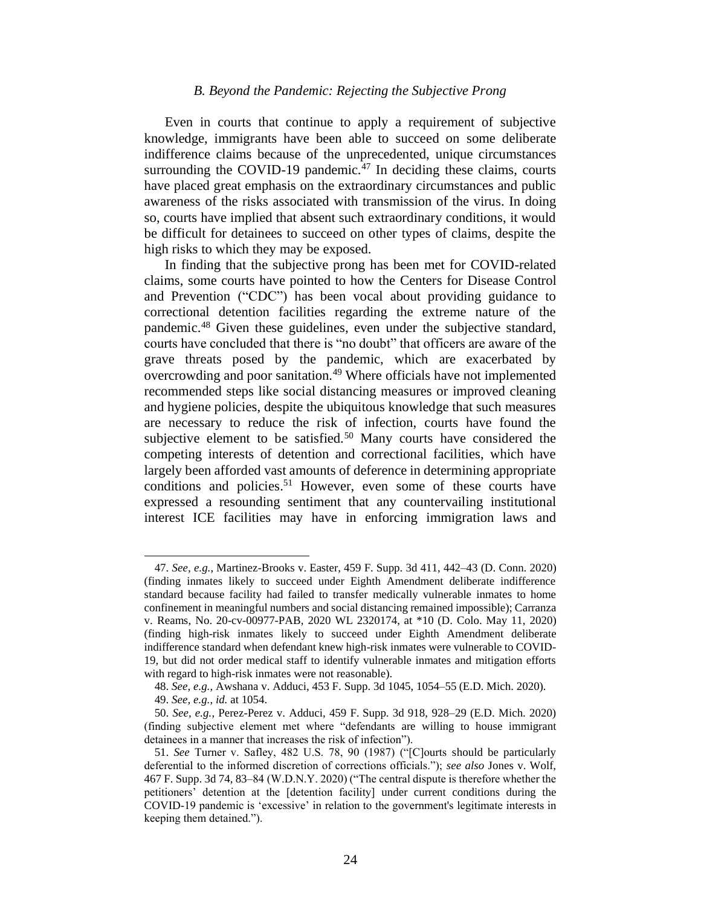#### *B. Beyond the Pandemic: Rejecting the Subjective Prong*

Even in courts that continue to apply a requirement of subjective knowledge, immigrants have been able to succeed on some deliberate indifference claims because of the unprecedented, unique circumstances surrounding the COVID-19 pandemic. $47$  In deciding these claims, courts have placed great emphasis on the extraordinary circumstances and public awareness of the risks associated with transmission of the virus. In doing so, courts have implied that absent such extraordinary conditions, it would be difficult for detainees to succeed on other types of claims, despite the high risks to which they may be exposed.

In finding that the subjective prong has been met for COVID-related claims, some courts have pointed to how the Centers for Disease Control and Prevention ("CDC") has been vocal about providing guidance to correctional detention facilities regarding the extreme nature of the pandemic.<sup>48</sup> Given these guidelines, even under the subjective standard, courts have concluded that there is "no doubt" that officers are aware of the grave threats posed by the pandemic, which are exacerbated by overcrowding and poor sanitation.<sup>49</sup> Where officials have not implemented recommended steps like social distancing measures or improved cleaning and hygiene policies, despite the ubiquitous knowledge that such measures are necessary to reduce the risk of infection, courts have found the subjective element to be satisfied.<sup>50</sup> Many courts have considered the competing interests of detention and correctional facilities, which have largely been afforded vast amounts of deference in determining appropriate conditions and policies. <sup>51</sup> However, even some of these courts have expressed a resounding sentiment that any countervailing institutional interest ICE facilities may have in enforcing immigration laws and

<sup>47.</sup> *See, e.g.*, Martinez-Brooks v. Easter, 459 F. Supp. 3d 411, 442–43 (D. Conn. 2020) (finding inmates likely to succeed under Eighth Amendment deliberate indifference standard because facility had failed to transfer medically vulnerable inmates to home confinement in meaningful numbers and social distancing remained impossible); Carranza v. Reams, No. 20-cv-00977-PAB, 2020 WL 2320174, at \*10 (D. Colo. May 11, 2020) (finding high-risk inmates likely to succeed under Eighth Amendment deliberate indifference standard when defendant knew high-risk inmates were vulnerable to COVID-19, but did not order medical staff to identify vulnerable inmates and mitigation efforts with regard to high-risk inmates were not reasonable).

<sup>48.</sup> *See, e.g.*, Awshana v. Adduci, 453 F. Supp. 3d 1045, 1054–55 (E.D. Mich. 2020).

<sup>49.</sup> *See, e.g.*, *id.* at 1054.

<sup>50.</sup> *See, e.g.*, Perez-Perez v. Adduci, 459 F. Supp. 3d 918, 928–29 (E.D. Mich. 2020) (finding subjective element met where "defendants are willing to house immigrant detainees in a manner that increases the risk of infection").

<sup>51.</sup> *See* Turner v. Safley, 482 U.S. 78, 90 (1987) ("[C]ourts should be particularly deferential to the informed discretion of corrections officials."); *see also* Jones v. Wolf, 467 F. Supp. 3d 74, 83–84 (W.D.N.Y. 2020) ("The central dispute is therefore whether the petitioners' detention at the [detention facility] under current conditions during the COVID-19 pandemic is 'excessive' in relation to the government's legitimate interests in keeping them detained.").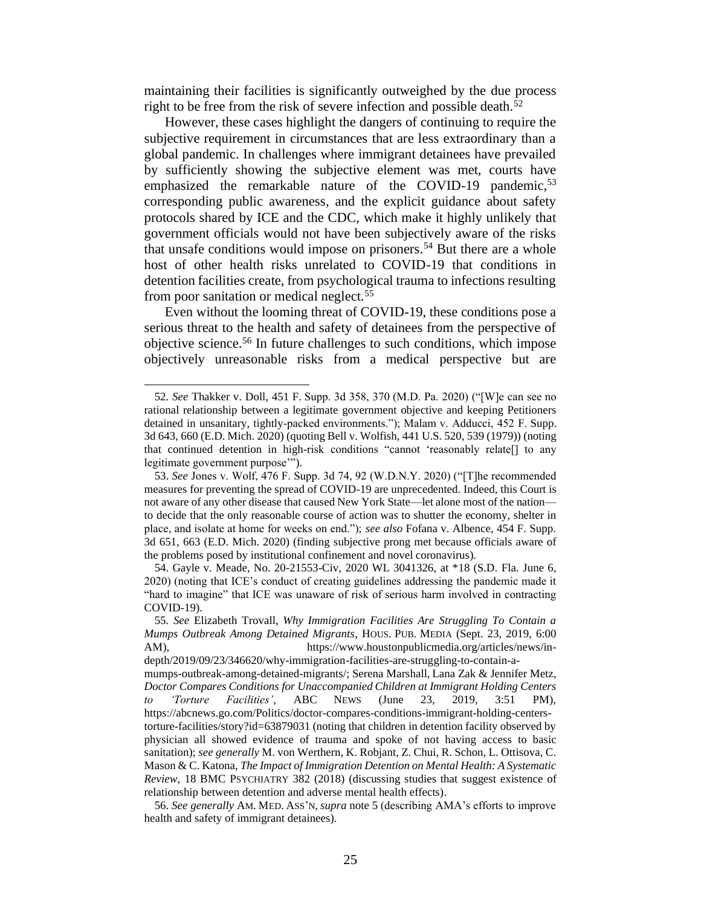maintaining their facilities is significantly outweighed by the due process right to be free from the risk of severe infection and possible death.<sup>52</sup>

However, these cases highlight the dangers of continuing to require the subjective requirement in circumstances that are less extraordinary than a global pandemic. In challenges where immigrant detainees have prevailed by sufficiently showing the subjective element was met, courts have emphasized the remarkable nature of the COVID-19 pandemic,<sup>53</sup> corresponding public awareness, and the explicit guidance about safety protocols shared by ICE and the CDC, which make it highly unlikely that government officials would not have been subjectively aware of the risks that unsafe conditions would impose on prisoners.<sup>54</sup> But there are a whole host of other health risks unrelated to COVID-19 that conditions in detention facilities create, from psychological trauma to infections resulting from poor sanitation or medical neglect.<sup>55</sup>

Even without the looming threat of COVID-19, these conditions pose a serious threat to the health and safety of detainees from the perspective of objective science.<sup>56</sup> In future challenges to such conditions, which impose objectively unreasonable risks from a medical perspective but are

<sup>52.</sup> *See* Thakker v. Doll, 451 F. Supp. 3d 358, 370 (M.D. Pa. 2020) ("[W]e can see no rational relationship between a legitimate government objective and keeping Petitioners detained in unsanitary, tightly-packed environments."); Malam v. Adducci, 452 F. Supp. 3d 643, 660 (E.D. Mich. 2020) (quoting Bell v. Wolfish, 441 U.S. 520, 539 (1979)) (noting that continued detention in high-risk conditions "cannot 'reasonably relate[] to any legitimate government purpose'").

<sup>53.</sup> *See* Jones v. Wolf, 476 F. Supp. 3d 74, 92 (W.D.N.Y. 2020) ("[T]he recommended measures for preventing the spread of COVID-19 are unprecedented. Indeed, this Court is not aware of any other disease that caused New York State—let alone most of the nation to decide that the only reasonable course of action was to shutter the economy, shelter in place, and isolate at home for weeks on end."); *see also* Fofana v. Albence, 454 F. Supp. 3d 651, 663 (E.D. Mich. 2020) (finding subjective prong met because officials aware of the problems posed by institutional confinement and novel coronavirus).

<sup>54.</sup> Gayle v. Meade, No. 20-21553-Civ, 2020 WL 3041326, at \*18 (S.D. Fla. June 6, 2020) (noting that ICE's conduct of creating guidelines addressing the pandemic made it "hard to imagine" that ICE was unaware of risk of serious harm involved in contracting COVID-19).

<sup>55</sup>*. See* Elizabeth Trovall, *Why Immigration Facilities Are Struggling To Contain a Mumps Outbreak Among Detained Migrants*, HOUS. PUB. MEDIA (Sept. 23, 2019, 6:00 AM), https://www.houstonpublicmedia.org/articles/news/in-

depth/2019/09/23/346620/why-immigration-facilities-are-struggling-to-contain-amumps-outbreak-among-detained-migrants/; Serena Marshall, Lana Zak & Jennifer Metz, *Doctor Compares Conditions for Unaccompanied Children at Immigrant Holding Centers to 'Torture Facilities'*, ABC NEWS (June 23, 2019, 3:51 PM), https://abcnews.go.com/Politics/doctor-compares-conditions-immigrant-holding-centerstorture-facilities/story?id=63879031 (noting that children in detention facility observed by physician all showed evidence of trauma and spoke of not having access to basic sanitation); *see generally* M. von Werthern, K. Robjant, Z. Chui, R. Schon, L. Ottisova, C. Mason & C. Katona, *The Impact of Immigration Detention on Mental Health: A Systematic Review*, 18 BMC PSYCHIATRY 382 (2018) (discussing studies that suggest existence of relationship between detention and adverse mental health effects).

<sup>56.</sup> *See generally* AM. MED. ASS'N, *supra* note 5 (describing AMA's efforts to improve health and safety of immigrant detainees).